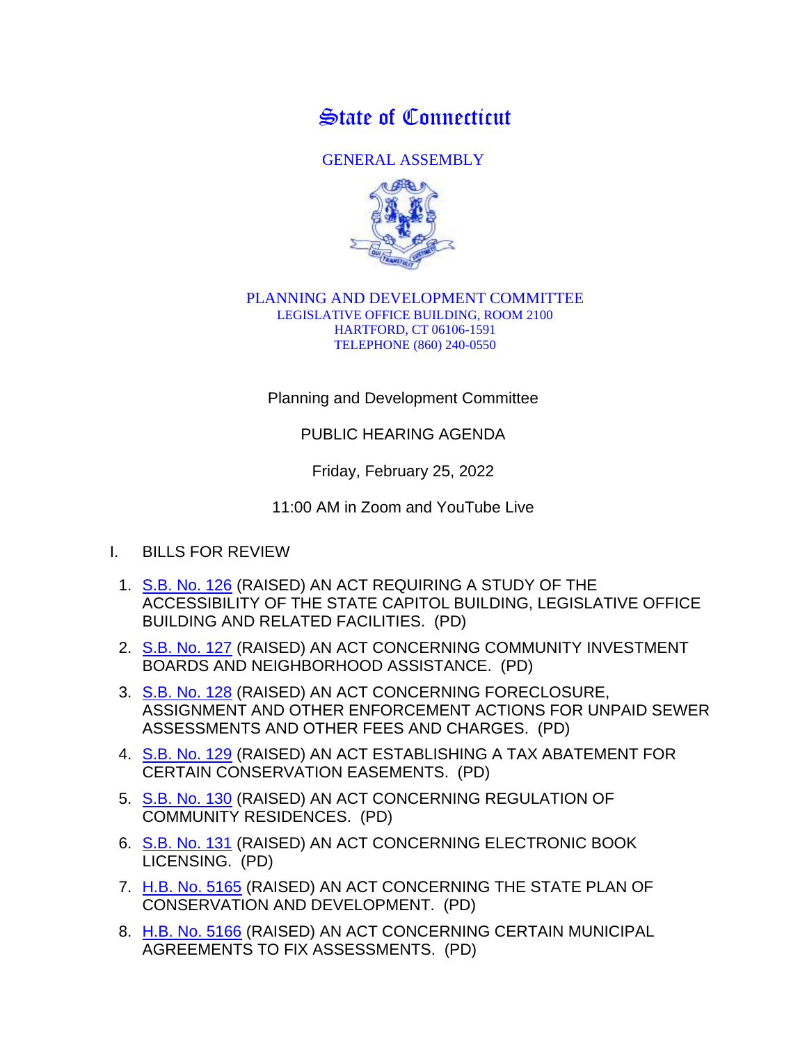State of Connecticut

GENERAL ASSEMBLY



## PLANNING AND DEVELOPMENT COMMITTEE LEGISLATIVE OFFICE BUILDING, ROOM 2100 HARTFORD, CT 06106-1591 TELEPHONE (860) 240-0550

Planning and Development Committee

PUBLIC HEARING AGENDA

Friday, February 25, 2022

11:00 AM in Zoom and YouTube Live

- I. BILLS FOR REVIEW
	- 1. [S.B. No. 126](http://www.cga.ct.gov/asp/cgabillstatus/cgabillstatus.asp?selBillType=Bill&bill_num=SB00126&which_year=2022) (RAISED) AN ACT REQUIRING A STUDY OF THE ACCESSIBILITY OF THE STATE CAPITOL BUILDING, LEGISLATIVE OFFICE BUILDING AND RELATED FACILITIES. (PD)
	- 2. [S.B. No. 127](http://www.cga.ct.gov/asp/cgabillstatus/cgabillstatus.asp?selBillType=Bill&bill_num=SB00127&which_year=2022) (RAISED) AN ACT CONCERNING COMMUNITY INVESTMENT BOARDS AND NEIGHBORHOOD ASSISTANCE. (PD)
	- 3. [S.B. No. 128](http://www.cga.ct.gov/asp/cgabillstatus/cgabillstatus.asp?selBillType=Bill&bill_num=SB00128&which_year=2022) (RAISED) AN ACT CONCERNING FORECLOSURE, ASSIGNMENT AND OTHER ENFORCEMENT ACTIONS FOR UNPAID SEWER ASSESSMENTS AND OTHER FEES AND CHARGES. (PD)
	- 4. [S.B. No. 129](http://www.cga.ct.gov/asp/cgabillstatus/cgabillstatus.asp?selBillType=Bill&bill_num=SB00129&which_year=2022) (RAISED) AN ACT ESTABLISHING A TAX ABATEMENT FOR CERTAIN CONSERVATION EASEMENTS. (PD)
	- 5. [S.B. No. 130](http://www.cga.ct.gov/asp/cgabillstatus/cgabillstatus.asp?selBillType=Bill&bill_num=SB00130&which_year=2022) (RAISED) AN ACT CONCERNING REGULATION OF COMMUNITY RESIDENCES. (PD)
	- 6. [S.B. No. 131](http://www.cga.ct.gov/asp/cgabillstatus/cgabillstatus.asp?selBillType=Bill&bill_num=SB00131&which_year=2022) (RAISED) AN ACT CONCERNING ELECTRONIC BOOK LICENSING. (PD)
	- 7. [H.B. No. 5165](http://www.cga.ct.gov/asp/cgabillstatus/cgabillstatus.asp?selBillType=Bill&bill_num=HB05165&which_year=2022) (RAISED) AN ACT CONCERNING THE STATE PLAN OF CONSERVATION AND DEVELOPMENT. (PD)
	- 8. [H.B. No. 5166](http://www.cga.ct.gov/asp/cgabillstatus/cgabillstatus.asp?selBillType=Bill&bill_num=HB05166&which_year=2022) (RAISED) AN ACT CONCERNING CERTAIN MUNICIPAL AGREEMENTS TO FIX ASSESSMENTS. (PD)